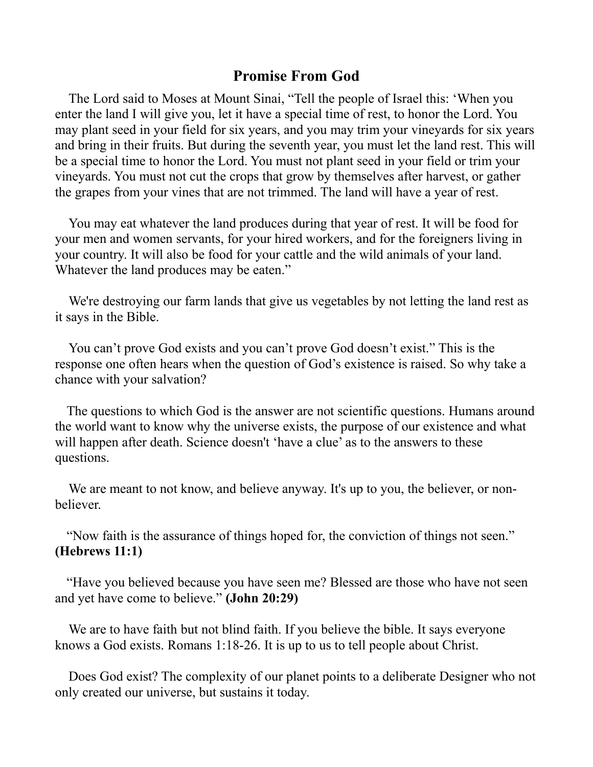## **Promise From God**

The Lord said to Moses at Mount Sinai, "Tell the people of Israel this: 'When you enter the land I will give you, let it have a special time of rest, to honor the Lord. You may plant seed in your field for six years, and you may trim your vineyards for six years and bring in their fruits. But during the seventh year, you must let the land rest. This will be a special time to honor the Lord. You must not plant seed in your field or trim your vineyards. You must not cut the crops that grow by themselves after harvest, or gather the grapes from your vines that are not trimmed. The land will have a year of rest.

You may eat whatever the land produces during that year of rest. It will be food for your men and women servants, for your hired workers, and for the foreigners living in your country. It will also be food for your cattle and the wild animals of your land. Whatever the land produces may be eaten."

We're destroying our farm lands that give us vegetables by not letting the land rest as it says in the Bible.

You can't prove God exists and you can't prove God doesn't exist." This is the response one often hears when the question of God's existence is raised. So why take a chance with your salvation?

The questions to which God is the answer are not scientific questions. Humans around the world want to know why the universe exists, the purpose of our existence and what will happen after death. Science doesn't 'have a clue' as to the answers to these questions.

We are meant to not know, and believe anyway. It's up to you, the believer, or nonbeliever.

"Now faith is the assurance of things hoped for, the conviction of things not seen." **(Hebrews 11:1)**

"Have you believed because you have seen me? Blessed are those who have not seen and yet have come to believe." **(John 20:29)**

We are to have faith but not blind faith. If you believe the bible. It says everyone knows a God exists. Romans 1:18-26. It is up to us to tell people about Christ.

Does God exist? The complexity of our planet points to a deliberate Designer who not only created our universe, but sustains it today.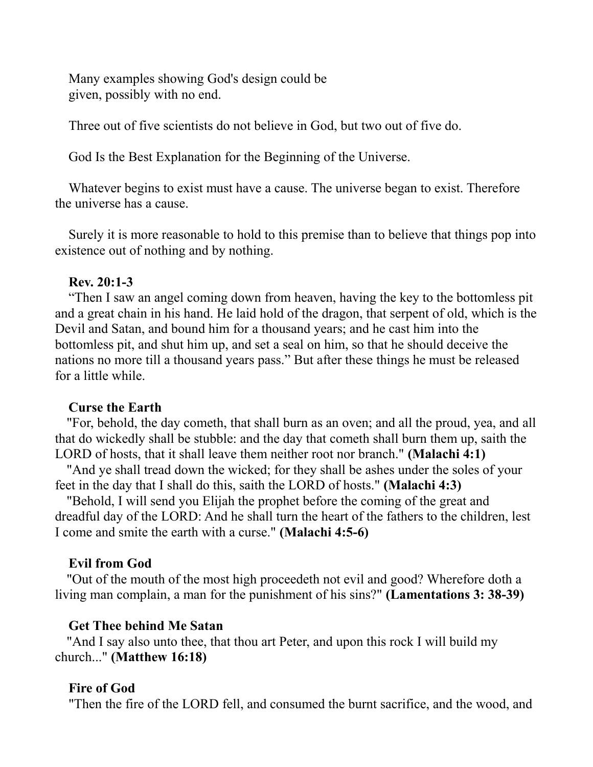Many examples showing God's design could be given, possibly with no end.

Three out of five scientists do not believe in God, but two out of five do.

God Is the Best Explanation for the Beginning of the Universe.

Whatever begins to exist must have a cause. The universe began to exist. Therefore the universe has a cause.

Surely it is more reasonable to hold to this premise than to believe that things pop into existence out of nothing and by nothing.

## **Rev. 20:1-3**

"Then I saw an angel coming down from heaven, having the key to the bottomless pit and a great chain in his hand. He laid hold of the dragon, that serpent of old, which is the Devil and Satan, and bound him for a thousand years; and he cast him into the bottomless pit, and shut him up, and set a seal on him, so that he should deceive the nations no more till a thousand years pass." But after these things he must be released for a little while.

#### **Curse the Earth**

"For, behold, the day cometh, that shall burn as an oven; and all the proud, yea, and all that do wickedly shall be stubble: and the day that cometh shall burn them up, saith the LORD of hosts, that it shall leave them neither root nor branch." **(Malachi 4:1)**

"And ye shall tread down the wicked; for they shall be ashes under the soles of your feet in the day that I shall do this, saith the LORD of hosts." **(Malachi 4:3)**

"Behold, I will send you Elijah the prophet before the coming of the great and dreadful day of the LORD: And he shall turn the heart of the fathers to the children, lest I come and smite the earth with a curse." **(Malachi 4:5-6)**

## **Evil from God**

"Out of the mouth of the most high proceedeth not evil and good? Wherefore doth a living man complain, a man for the punishment of his sins?" **(Lamentations 3: 38-39)**

## **Get Thee behind Me Satan**

"And I say also unto thee, that thou art Peter, and upon this rock I will build my church..." **(Matthew 16:18)**

#### **Fire of God**

"Then the fire of the LORD fell, and consumed the burnt sacrifice, and the wood, and